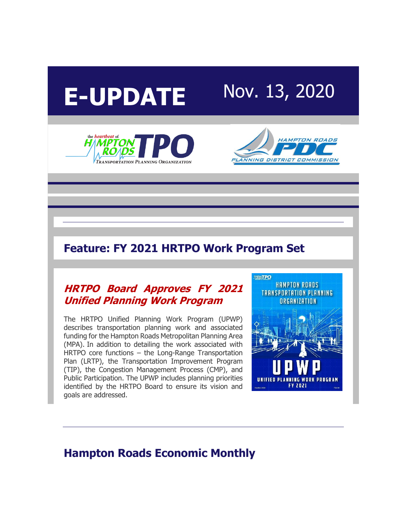# **E-UPDATE** Nov. 13, 2020





## **Feature: FY 2021 HRTPO Work Program Set**

#### **[HRTPO Board Approves FY 2021](http://r20.rs6.net/tn.jsp?f=001BR34_K56Fc4Aq7Q3R_wIF_fqhCDWoA3Gv0ySdq7nskzQgdT_ldicHXptTfIfWfTDR9vzh3UPjCgJV0PxnM9y11qZhOGT9qN0LJoLvgp3RIngptaZvLIDg6GIfPsFV1DGhZMBgOVshik3CDTwqaWBGqD8QSHpx6XwGywWtr8inMXQfKi6CyGH5lFSonXSq9nzIoddh2NGtVeUm9iIzqEgbLvRO6gIt4enEM_ryrZ3kyIuUEE5Wnu0j_xIwUabpId0D3wcjKOT9vHJ6saysuOQKQ==&c=gbJhLOmOpL3oRw_eUxFIJCZcvoN2XGdy3L30G5VPTeyQmxHgTmDbWg==&ch=mBAL0eBcGG1wSrTIBBjIi3TZqW98bemD6UOcrKLzEHnMOVvEk6o1jQ==)  [Unified Planning Work Program](http://r20.rs6.net/tn.jsp?f=001BR34_K56Fc4Aq7Q3R_wIF_fqhCDWoA3Gv0ySdq7nskzQgdT_ldicHXptTfIfWfTDR9vzh3UPjCgJV0PxnM9y11qZhOGT9qN0LJoLvgp3RIngptaZvLIDg6GIfPsFV1DGhZMBgOVshik3CDTwqaWBGqD8QSHpx6XwGywWtr8inMXQfKi6CyGH5lFSonXSq9nzIoddh2NGtVeUm9iIzqEgbLvRO6gIt4enEM_ryrZ3kyIuUEE5Wnu0j_xIwUabpId0D3wcjKOT9vHJ6saysuOQKQ==&c=gbJhLOmOpL3oRw_eUxFIJCZcvoN2XGdy3L30G5VPTeyQmxHgTmDbWg==&ch=mBAL0eBcGG1wSrTIBBjIi3TZqW98bemD6UOcrKLzEHnMOVvEk6o1jQ==)**

The HRTPO Unified Planning Work Program (UPWP) describes transportation planning work and associated funding for the Hampton Roads Metropolitan Planning Area (MPA). In addition to detailing the work associated with HRTPO core functions – the Long-Range Transportation Plan (LRTP), the Transportation Improvement Program (TIP), the Congestion Management Process (CMP), and Public Participation. The UPWP includes planning priorities identified by the HRTPO Board to ensure its vision and goals are addressed.



## **Hampton Roads Economic Monthly**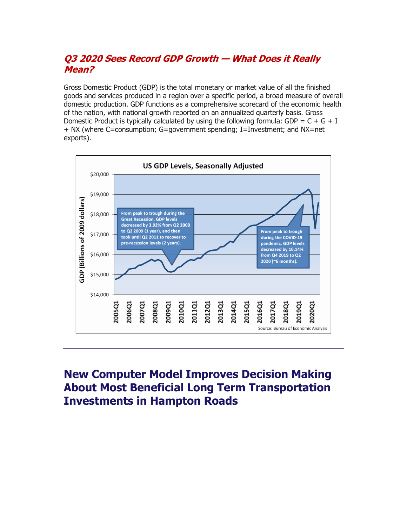#### **[Q3 2020 Sees Record GDP Growth](http://r20.rs6.net/tn.jsp?f=001BR34_K56Fc4Aq7Q3R_wIF_fqhCDWoA3Gv0ySdq7nskzQgdT_ldicHXptTfIfWfTD_dJ8MpVkcQWERZqmznEFlVOqXgQjZbg26Ibmwai81_5DHaP4_eZYZRLgMaUJr_V1tmkimhjBxvPar_of1YszSjjrot8-aIWtnS4zjcrrkzfsGftNlDcI1MZrGFdbB4N0RbwkE97u5kc=&c=gbJhLOmOpL3oRw_eUxFIJCZcvoN2XGdy3L30G5VPTeyQmxHgTmDbWg==&ch=mBAL0eBcGG1wSrTIBBjIi3TZqW98bemD6UOcrKLzEHnMOVvEk6o1jQ==) — What Does it Really [Mean?](http://r20.rs6.net/tn.jsp?f=001BR34_K56Fc4Aq7Q3R_wIF_fqhCDWoA3Gv0ySdq7nskzQgdT_ldicHXptTfIfWfTD_dJ8MpVkcQWERZqmznEFlVOqXgQjZbg26Ibmwai81_5DHaP4_eZYZRLgMaUJr_V1tmkimhjBxvPar_of1YszSjjrot8-aIWtnS4zjcrrkzfsGftNlDcI1MZrGFdbB4N0RbwkE97u5kc=&c=gbJhLOmOpL3oRw_eUxFIJCZcvoN2XGdy3L30G5VPTeyQmxHgTmDbWg==&ch=mBAL0eBcGG1wSrTIBBjIi3TZqW98bemD6UOcrKLzEHnMOVvEk6o1jQ==)**

Gross Domestic Product (GDP) is the total monetary or market value of all the finished goods and services produced in a region over a specific period, a broad measure of overall domestic production. GDP functions as a comprehensive scorecard of the economic health of the nation, with national growth reported on an annualized quarterly basis. Gross Domestic Product is typically calculated by using the following formula: GDP =  $C + G + I$ + NX (where C=consumption; G=government spending; I=Investment; and NX=net exports).



# **New Computer Model Improves Decision Making About Most Beneficial Long Term Transportation Investments in Hampton Roads**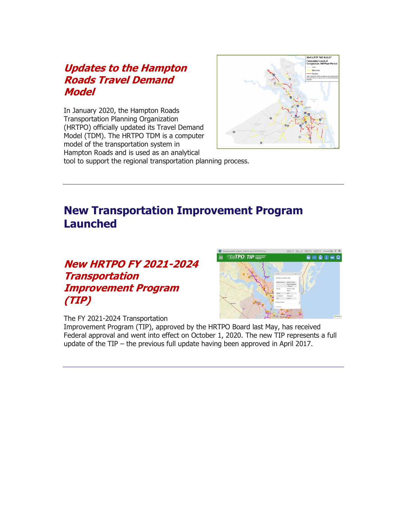#### **[Updates to the Hampton](http://r20.rs6.net/tn.jsp?f=001BR34_K56Fc4Aq7Q3R_wIF_fqhCDWoA3Gv0ySdq7nskzQgdT_ldicHXptTfIfWfTD7RDsIA82ueQQJv8j88wXnhiNocerNuJrbsucvkLi9R-srexJxMwnBp8TA0juTC0wqrBpM7SKKYjI4XJUqXFZ7CRqg7NQWXf2h63yqfyL20DfxTW31W2x4IqDdf2yk_M5S8NvT6JcCY1V0joU-20hOjsbFEehSSeCJwrod8AeaOq4qhTu47dmZwtwmvxsrNIVnbNeTMn-3QA=&c=gbJhLOmOpL3oRw_eUxFIJCZcvoN2XGdy3L30G5VPTeyQmxHgTmDbWg==&ch=mBAL0eBcGG1wSrTIBBjIi3TZqW98bemD6UOcrKLzEHnMOVvEk6o1jQ==)  [Roads Travel Demand](http://r20.rs6.net/tn.jsp?f=001BR34_K56Fc4Aq7Q3R_wIF_fqhCDWoA3Gv0ySdq7nskzQgdT_ldicHXptTfIfWfTD7RDsIA82ueQQJv8j88wXnhiNocerNuJrbsucvkLi9R-srexJxMwnBp8TA0juTC0wqrBpM7SKKYjI4XJUqXFZ7CRqg7NQWXf2h63yqfyL20DfxTW31W2x4IqDdf2yk_M5S8NvT6JcCY1V0joU-20hOjsbFEehSSeCJwrod8AeaOq4qhTu47dmZwtwmvxsrNIVnbNeTMn-3QA=&c=gbJhLOmOpL3oRw_eUxFIJCZcvoN2XGdy3L30G5VPTeyQmxHgTmDbWg==&ch=mBAL0eBcGG1wSrTIBBjIi3TZqW98bemD6UOcrKLzEHnMOVvEk6o1jQ==)  [Model](http://r20.rs6.net/tn.jsp?f=001BR34_K56Fc4Aq7Q3R_wIF_fqhCDWoA3Gv0ySdq7nskzQgdT_ldicHXptTfIfWfTD7RDsIA82ueQQJv8j88wXnhiNocerNuJrbsucvkLi9R-srexJxMwnBp8TA0juTC0wqrBpM7SKKYjI4XJUqXFZ7CRqg7NQWXf2h63yqfyL20DfxTW31W2x4IqDdf2yk_M5S8NvT6JcCY1V0joU-20hOjsbFEehSSeCJwrod8AeaOq4qhTu47dmZwtwmvxsrNIVnbNeTMn-3QA=&c=gbJhLOmOpL3oRw_eUxFIJCZcvoN2XGdy3L30G5VPTeyQmxHgTmDbWg==&ch=mBAL0eBcGG1wSrTIBBjIi3TZqW98bemD6UOcrKLzEHnMOVvEk6o1jQ==)**

In January 2020, the Hampton Roads Transportation Planning Organization (HRTPO) officially updated its Travel Demand Model (TDM). The HRTPO TDM is a computer model of the transportation system in Hampton Roads and is used as an analytical



tool to support the regional transportation planning process.

# **New Transportation Improvement Program Launched**

## **[New HRTPO FY 2021-2024](http://r20.rs6.net/tn.jsp?f=001BR34_K56Fc4Aq7Q3R_wIF_fqhCDWoA3Gv0ySdq7nskzQgdT_ldicHXptTfIfWfTDw_Kc8_Bq1H7DJmrDJ-P6oMFiVV_k6OjWnbVFWA-4SnlrSDFX6Tctjju4-WBXJ7NxCPFNCphtEmskdw45SLQrYiAStt5pKYAbLxk5jHU3WR4dLDe2hcqSdSTkaAwmzqm0VlblY_eYt3AtzkoGfS-b7lY35Xs_awbC2_TP7C9j1QcDuQeZGnUE4aR2xfehF17rJcbGjotDIGncBDNZFskdRNVbnsiOo7yaJzGlIy0Ss80=&c=gbJhLOmOpL3oRw_eUxFIJCZcvoN2XGdy3L30G5VPTeyQmxHgTmDbWg==&ch=mBAL0eBcGG1wSrTIBBjIi3TZqW98bemD6UOcrKLzEHnMOVvEk6o1jQ==)  [Transportation](http://r20.rs6.net/tn.jsp?f=001BR34_K56Fc4Aq7Q3R_wIF_fqhCDWoA3Gv0ySdq7nskzQgdT_ldicHXptTfIfWfTDw_Kc8_Bq1H7DJmrDJ-P6oMFiVV_k6OjWnbVFWA-4SnlrSDFX6Tctjju4-WBXJ7NxCPFNCphtEmskdw45SLQrYiAStt5pKYAbLxk5jHU3WR4dLDe2hcqSdSTkaAwmzqm0VlblY_eYt3AtzkoGfS-b7lY35Xs_awbC2_TP7C9j1QcDuQeZGnUE4aR2xfehF17rJcbGjotDIGncBDNZFskdRNVbnsiOo7yaJzGlIy0Ss80=&c=gbJhLOmOpL3oRw_eUxFIJCZcvoN2XGdy3L30G5VPTeyQmxHgTmDbWg==&ch=mBAL0eBcGG1wSrTIBBjIi3TZqW98bemD6UOcrKLzEHnMOVvEk6o1jQ==)  [Improvement Program](http://r20.rs6.net/tn.jsp?f=001BR34_K56Fc4Aq7Q3R_wIF_fqhCDWoA3Gv0ySdq7nskzQgdT_ldicHXptTfIfWfTDw_Kc8_Bq1H7DJmrDJ-P6oMFiVV_k6OjWnbVFWA-4SnlrSDFX6Tctjju4-WBXJ7NxCPFNCphtEmskdw45SLQrYiAStt5pKYAbLxk5jHU3WR4dLDe2hcqSdSTkaAwmzqm0VlblY_eYt3AtzkoGfS-b7lY35Xs_awbC2_TP7C9j1QcDuQeZGnUE4aR2xfehF17rJcbGjotDIGncBDNZFskdRNVbnsiOo7yaJzGlIy0Ss80=&c=gbJhLOmOpL3oRw_eUxFIJCZcvoN2XGdy3L30G5VPTeyQmxHgTmDbWg==&ch=mBAL0eBcGG1wSrTIBBjIi3TZqW98bemD6UOcrKLzEHnMOVvEk6o1jQ==)  [\(TIP\)](http://r20.rs6.net/tn.jsp?f=001BR34_K56Fc4Aq7Q3R_wIF_fqhCDWoA3Gv0ySdq7nskzQgdT_ldicHXptTfIfWfTDw_Kc8_Bq1H7DJmrDJ-P6oMFiVV_k6OjWnbVFWA-4SnlrSDFX6Tctjju4-WBXJ7NxCPFNCphtEmskdw45SLQrYiAStt5pKYAbLxk5jHU3WR4dLDe2hcqSdSTkaAwmzqm0VlblY_eYt3AtzkoGfS-b7lY35Xs_awbC2_TP7C9j1QcDuQeZGnUE4aR2xfehF17rJcbGjotDIGncBDNZFskdRNVbnsiOo7yaJzGlIy0Ss80=&c=gbJhLOmOpL3oRw_eUxFIJCZcvoN2XGdy3L30G5VPTeyQmxHgTmDbWg==&ch=mBAL0eBcGG1wSrTIBBjIi3TZqW98bemD6UOcrKLzEHnMOVvEk6o1jQ==)**



The FY 2021-2024 Transportation

Improvement Program (TIP), approved by the HRTPO Board last May, has received Federal approval and went into effect on October 1, 2020. The new TIP represents a full update of the TIP – the previous full update having been approved in April 2017.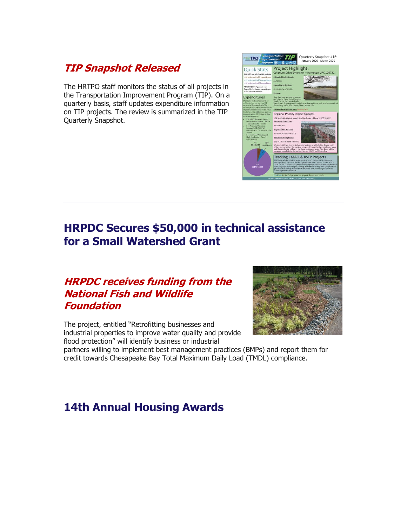## **[TIP Snapshot Released](http://r20.rs6.net/tn.jsp?f=001BR34_K56Fc4Aq7Q3R_wIF_fqhCDWoA3Gv0ySdq7nskzQgdT_ldicHXptTfIfWfTDU5WYU_Wst6SHradu2buWXlCJib3jqZl7IQVAZKjbhXr_fgDdXncwZhjVw_suqabOz4cJ73Rtvz8WvVmeACMqDXcBfRe7_-dj10vikG-6avjWse9rzURJv86JpCAz148xp79-pyqtryo=&c=gbJhLOmOpL3oRw_eUxFIJCZcvoN2XGdy3L30G5VPTeyQmxHgTmDbWg==&ch=mBAL0eBcGG1wSrTIBBjIi3TZqW98bemD6UOcrKLzEHnMOVvEk6o1jQ==)**

The HRTPO staff monitors the status of all projects in the Transportation Improvement Program (TIP). On a quarterly basis, staff updates expenditure information on TIP projects. The review is summarized in the TIP Quarterly Snapshot.



# **HRPDC Secures \$50,000 in technical assistance for a Small Watershed Grant**

## **[HRPDC receives funding from the](http://r20.rs6.net/tn.jsp?f=001BR34_K56Fc4Aq7Q3R_wIF_fqhCDWoA3Gv0ySdq7nskzQgdT_ldicHXptTfIfWfTD8r6x-pn8X5eUMUolbJ_dlHY_a5FzZWmAemcFyQoBshrqG3Rgi2QwWkXbfOS3O8ho7iqkRWx1VBBUhtIsJmZOT61FPiMVprqyB7m2p49b0sEdir2qFgRw1QEX9kxYkpDdqlwRgNNlZ_bFe96vi92F_kYGFHxRh2AzCkrL3wenSE8ozyyWCNw8zjBw82gmu_0sRDETCt9NK4muVxkVuEya2daHqIjdLzjdD1WCW_TKHPw=&c=gbJhLOmOpL3oRw_eUxFIJCZcvoN2XGdy3L30G5VPTeyQmxHgTmDbWg==&ch=mBAL0eBcGG1wSrTIBBjIi3TZqW98bemD6UOcrKLzEHnMOVvEk6o1jQ==)  [National Fish and Wildlife](http://r20.rs6.net/tn.jsp?f=001BR34_K56Fc4Aq7Q3R_wIF_fqhCDWoA3Gv0ySdq7nskzQgdT_ldicHXptTfIfWfTD8r6x-pn8X5eUMUolbJ_dlHY_a5FzZWmAemcFyQoBshrqG3Rgi2QwWkXbfOS3O8ho7iqkRWx1VBBUhtIsJmZOT61FPiMVprqyB7m2p49b0sEdir2qFgRw1QEX9kxYkpDdqlwRgNNlZ_bFe96vi92F_kYGFHxRh2AzCkrL3wenSE8ozyyWCNw8zjBw82gmu_0sRDETCt9NK4muVxkVuEya2daHqIjdLzjdD1WCW_TKHPw=&c=gbJhLOmOpL3oRw_eUxFIJCZcvoN2XGdy3L30G5VPTeyQmxHgTmDbWg==&ch=mBAL0eBcGG1wSrTIBBjIi3TZqW98bemD6UOcrKLzEHnMOVvEk6o1jQ==)  [Foundation](http://r20.rs6.net/tn.jsp?f=001BR34_K56Fc4Aq7Q3R_wIF_fqhCDWoA3Gv0ySdq7nskzQgdT_ldicHXptTfIfWfTD8r6x-pn8X5eUMUolbJ_dlHY_a5FzZWmAemcFyQoBshrqG3Rgi2QwWkXbfOS3O8ho7iqkRWx1VBBUhtIsJmZOT61FPiMVprqyB7m2p49b0sEdir2qFgRw1QEX9kxYkpDdqlwRgNNlZ_bFe96vi92F_kYGFHxRh2AzCkrL3wenSE8ozyyWCNw8zjBw82gmu_0sRDETCt9NK4muVxkVuEya2daHqIjdLzjdD1WCW_TKHPw=&c=gbJhLOmOpL3oRw_eUxFIJCZcvoN2XGdy3L30G5VPTeyQmxHgTmDbWg==&ch=mBAL0eBcGG1wSrTIBBjIi3TZqW98bemD6UOcrKLzEHnMOVvEk6o1jQ==)**

The project, entitled "Retrofitting businesses and industrial properties to improve water quality and provide flood protection" will identify business or industrial



partners willing to implement best management practices (BMPs) and report them for credit towards Chesapeake Bay Total Maximum Daily Load (TMDL) compliance.

# **14th Annual Housing Awards**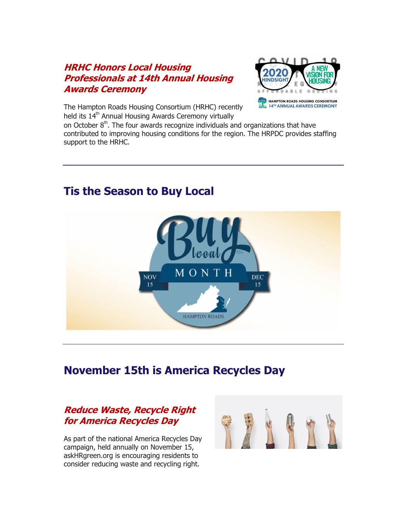#### **[HRHC Honors Local Housing](http://r20.rs6.net/tn.jsp?f=001BR34_K56Fc4Aq7Q3R_wIF_fqhCDWoA3Gv0ySdq7nskzQgdT_ldicHXptTfIfWfTD2J8wGVF2OuqNkfcHg9WRN0DJDaIfQJWpCBV0FHz28ZaLLHSH11O4T1qxM_L8ELucfglBGTVoU4UVnby0uvR11s13jChD33IYxg7ZJE4eiH_rhwSYlomZeW2QB9T_Z4yXbVG72cLiNzk8i4EjZjIYQMFwqIAay9NrTAtESf_xaFfiFoH7e9slSiXk-egUVk_XGvaB9KNpCRilyY3cvkH0InFUAJS1mC-NLbd_SkTtTZC7f7BmE_jdDg==&c=gbJhLOmOpL3oRw_eUxFIJCZcvoN2XGdy3L30G5VPTeyQmxHgTmDbWg==&ch=mBAL0eBcGG1wSrTIBBjIi3TZqW98bemD6UOcrKLzEHnMOVvEk6o1jQ==)  [Professionals at 14th Annual Housing](http://r20.rs6.net/tn.jsp?f=001BR34_K56Fc4Aq7Q3R_wIF_fqhCDWoA3Gv0ySdq7nskzQgdT_ldicHXptTfIfWfTD2J8wGVF2OuqNkfcHg9WRN0DJDaIfQJWpCBV0FHz28ZaLLHSH11O4T1qxM_L8ELucfglBGTVoU4UVnby0uvR11s13jChD33IYxg7ZJE4eiH_rhwSYlomZeW2QB9T_Z4yXbVG72cLiNzk8i4EjZjIYQMFwqIAay9NrTAtESf_xaFfiFoH7e9slSiXk-egUVk_XGvaB9KNpCRilyY3cvkH0InFUAJS1mC-NLbd_SkTtTZC7f7BmE_jdDg==&c=gbJhLOmOpL3oRw_eUxFIJCZcvoN2XGdy3L30G5VPTeyQmxHgTmDbWg==&ch=mBAL0eBcGG1wSrTIBBjIi3TZqW98bemD6UOcrKLzEHnMOVvEk6o1jQ==)  [Awards Ceremony](http://r20.rs6.net/tn.jsp?f=001BR34_K56Fc4Aq7Q3R_wIF_fqhCDWoA3Gv0ySdq7nskzQgdT_ldicHXptTfIfWfTD2J8wGVF2OuqNkfcHg9WRN0DJDaIfQJWpCBV0FHz28ZaLLHSH11O4T1qxM_L8ELucfglBGTVoU4UVnby0uvR11s13jChD33IYxg7ZJE4eiH_rhwSYlomZeW2QB9T_Z4yXbVG72cLiNzk8i4EjZjIYQMFwqIAay9NrTAtESf_xaFfiFoH7e9slSiXk-egUVk_XGvaB9KNpCRilyY3cvkH0InFUAJS1mC-NLbd_SkTtTZC7f7BmE_jdDg==&c=gbJhLOmOpL3oRw_eUxFIJCZcvoN2XGdy3L30G5VPTeyQmxHgTmDbWg==&ch=mBAL0eBcGG1wSrTIBBjIi3TZqW98bemD6UOcrKLzEHnMOVvEk6o1jQ==)**



The Hampton Roads Housing Consortium (HRHC) recently held its 14<sup>th</sup> Annual Housing Awards Ceremony virtually

on October  $8<sup>th</sup>$ . The four awards recognize individuals and organizations that have contributed to improving housing conditions for the region. The HRPDC provides staffing support to the HRHC.



# **Tis the Season to Buy Local**

## **November 15th is America Recycles Day**

#### **[Reduce Waste, Recycle Right](http://r20.rs6.net/tn.jsp?f=001BR34_K56Fc4Aq7Q3R_wIF_fqhCDWoA3Gv0ySdq7nskzQgdT_ldicHXptTfIfWfTDuYFGGaT6daBXb-Sk2G9qglZBbjkWClA8WzjiIeq6pHlaEiPf1gyu1ZR8cRnurkee_WmYAixzzrjKtMkf0hEfcfBxZO2nA_zfzRHmnWbZAfj3aY36BZUA0x5v9fhz-FchaRroT4TgvEypmG5w0xKujW6z5k0IxtvMv1NdqNfTyFM5hTvmnnGWNFums67I2bWsLsOMotxGlMAg8x1Kq6zRgQ==&c=gbJhLOmOpL3oRw_eUxFIJCZcvoN2XGdy3L30G5VPTeyQmxHgTmDbWg==&ch=mBAL0eBcGG1wSrTIBBjIi3TZqW98bemD6UOcrKLzEHnMOVvEk6o1jQ==)  [for America Recycles Day](http://r20.rs6.net/tn.jsp?f=001BR34_K56Fc4Aq7Q3R_wIF_fqhCDWoA3Gv0ySdq7nskzQgdT_ldicHXptTfIfWfTDuYFGGaT6daBXb-Sk2G9qglZBbjkWClA8WzjiIeq6pHlaEiPf1gyu1ZR8cRnurkee_WmYAixzzrjKtMkf0hEfcfBxZO2nA_zfzRHmnWbZAfj3aY36BZUA0x5v9fhz-FchaRroT4TgvEypmG5w0xKujW6z5k0IxtvMv1NdqNfTyFM5hTvmnnGWNFums67I2bWsLsOMotxGlMAg8x1Kq6zRgQ==&c=gbJhLOmOpL3oRw_eUxFIJCZcvoN2XGdy3L30G5VPTeyQmxHgTmDbWg==&ch=mBAL0eBcGG1wSrTIBBjIi3TZqW98bemD6UOcrKLzEHnMOVvEk6o1jQ==)**

As part of the national America Recycles Day campaign, held annually on November 15, askHRgreen.org is encouraging residents to consider reducing waste and recycling right.

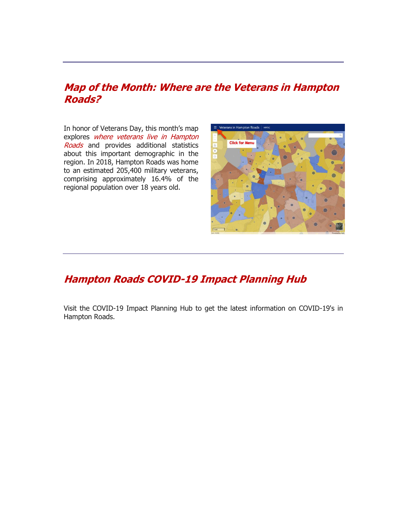#### **[Map of the Month: Where are the Veterans in Hampton](http://r20.rs6.net/tn.jsp?f=001BR34_K56Fc4Aq7Q3R_wIF_fqhCDWoA3Gv0ySdq7nskzQgdT_ldicHXptTfIfWfTD64wyA8M3h1LgzolJnEQSE1-Mxw5iG4VdmBfHCZ3aY95B5dr3hpn67nXmkzDBBYb_7CEkd-iY5JKxclynZ5v0Ez6uv8Eb44dgGum52xjg7lURwEwZ9FQWo8mTE_Y2zk78YBO6ajs8A-DIJwF0-piI1VQ0Vd46fFesK6VPRMtYEY8k13Bs_wpiBlLf1NbRqaXbO2hQT897vV9KUHa-Hdru34jSZBtsbEVnKyfJuQQNh4Y=&c=gbJhLOmOpL3oRw_eUxFIJCZcvoN2XGdy3L30G5VPTeyQmxHgTmDbWg==&ch=mBAL0eBcGG1wSrTIBBjIi3TZqW98bemD6UOcrKLzEHnMOVvEk6o1jQ==)  [Roads?](http://r20.rs6.net/tn.jsp?f=001BR34_K56Fc4Aq7Q3R_wIF_fqhCDWoA3Gv0ySdq7nskzQgdT_ldicHXptTfIfWfTD64wyA8M3h1LgzolJnEQSE1-Mxw5iG4VdmBfHCZ3aY95B5dr3hpn67nXmkzDBBYb_7CEkd-iY5JKxclynZ5v0Ez6uv8Eb44dgGum52xjg7lURwEwZ9FQWo8mTE_Y2zk78YBO6ajs8A-DIJwF0-piI1VQ0Vd46fFesK6VPRMtYEY8k13Bs_wpiBlLf1NbRqaXbO2hQT897vV9KUHa-Hdru34jSZBtsbEVnKyfJuQQNh4Y=&c=gbJhLOmOpL3oRw_eUxFIJCZcvoN2XGdy3L30G5VPTeyQmxHgTmDbWg==&ch=mBAL0eBcGG1wSrTIBBjIi3TZqW98bemD6UOcrKLzEHnMOVvEk6o1jQ==)**

In honor of Veterans Day, this month's map explores where veterans live in Hampton [Roads](http://r20.rs6.net/tn.jsp?f=001BR34_K56Fc4Aq7Q3R_wIF_fqhCDWoA3Gv0ySdq7nskzQgdT_ldicHXptTfIfWfTDkICpIAzSB5_LbJgIo3lBE5zLTwvzTGDgKrXLiUIJv2iMjSjfdtOBZeKzHiTOJykdCi5qE7KabwGXieR3phyI_HVM4JR6BCEoNYs6NuolYbzNGbHSB-GPHTNDenhVdtL8U33vzrTvU68sU15iwFpD8H9Mfvq1CtwC-2MgyWPetDAz3UW2LdgB74PvaDM5kcUi&c=gbJhLOmOpL3oRw_eUxFIJCZcvoN2XGdy3L30G5VPTeyQmxHgTmDbWg==&ch=mBAL0eBcGG1wSrTIBBjIi3TZqW98bemD6UOcrKLzEHnMOVvEk6o1jQ==) and provides additional statistics about this important demographic in the region. In 2018, Hampton Roads was home to an estimated 205,400 military veterans, comprising approximately 16.4% of the regional population over 18 years old.



#### **[Hampton Roads COVID-19 Impact Planning Hub](http://r20.rs6.net/tn.jsp?f=001BR34_K56Fc4Aq7Q3R_wIF_fqhCDWoA3Gv0ySdq7nskzQgdT_ldicHaLDRah4_rGudLncrLg6XqDeisyg090eFGT8ZIZ9ji2GCOc68QOOWgQH5J4N82us5V3dk_1vRThOa0An4AnCT5QX7PXCDF3fY-SZyaPFIxDwKE3PA0ziz0I=&c=gbJhLOmOpL3oRw_eUxFIJCZcvoN2XGdy3L30G5VPTeyQmxHgTmDbWg==&ch=mBAL0eBcGG1wSrTIBBjIi3TZqW98bemD6UOcrKLzEHnMOVvEk6o1jQ==)**

Visit the COVID-19 Impact Planning Hub to get the latest information on COVID-19's in Hampton Roads.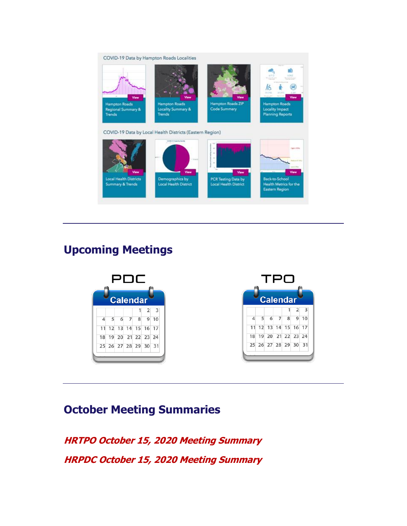

# **Upcoming Meetings**



# **October Meeting Summaries**

**[HRTPO October 15, 2020 Meeting Summary](http://r20.rs6.net/tn.jsp?f=001BR34_K56Fc4Aq7Q3R_wIF_fqhCDWoA3Gv0ySdq7nskzQgdT_ldicHXptTfIfWfTDLhrNzkIouKE_j-Smi9V7MwcEpfkCZNClaWvfO_m3E0NBCAVraEGoBQf0Fiuk73qF4o1rGVI3fWCwJ6-R44_2FenW7Fsbmt1tDYIliXLvobcmBpZaQQIYUz7zWwB9iApzsHxMvo_ZMhxYZBXfKUUaq4IE--IO46XT&c=gbJhLOmOpL3oRw_eUxFIJCZcvoN2XGdy3L30G5VPTeyQmxHgTmDbWg==&ch=mBAL0eBcGG1wSrTIBBjIi3TZqW98bemD6UOcrKLzEHnMOVvEk6o1jQ==)  [HRPDC October 15, 2020 Meeting Summary](http://r20.rs6.net/tn.jsp?f=001BR34_K56Fc4Aq7Q3R_wIF_fqhCDWoA3Gv0ySdq7nskzQgdT_ldicHXptTfIfWfTDtTdzgMQdPh8Yp4l-6chQUSqbUI_vCLKqF3riyIQ3pR0j1sgXKz7Y5RTgKPqlr16HUJknMosqk23F0WkwURaUN4DIthFqgPh8Kj3IS2JmYbIyjrRk4ttI83j9JhlPutajy4jsPfFMi-K9OuFN0xIwH-vk9v9ZTNv1&c=gbJhLOmOpL3oRw_eUxFIJCZcvoN2XGdy3L30G5VPTeyQmxHgTmDbWg==&ch=mBAL0eBcGG1wSrTIBBjIi3TZqW98bemD6UOcrKLzEHnMOVvEk6o1jQ==)**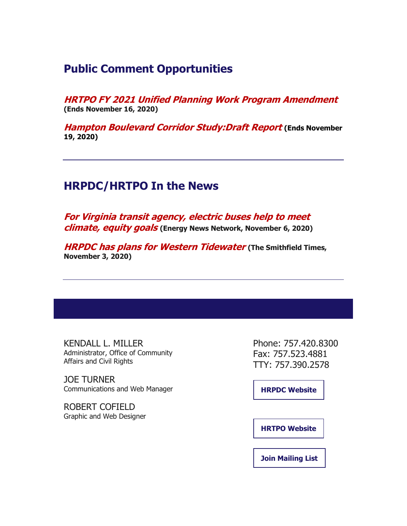## **Public Comment Opportunities**

**[HRTPO FY 2021 Unified Planning Work Program Amendment](http://r20.rs6.net/tn.jsp?f=001BR34_K56Fc4Aq7Q3R_wIF_fqhCDWoA3Gv0ySdq7nskzQgdT_ldicHURJ4Qc3vmua451ds-xNi0wdXZzvAWyqIijXUb87gdeAZD4EGag16F9w93MrE0dIfxmJNf4SXKEHkLLPT83P0txn263etra8E7Mx-dHKCToprTX7BTd3KGgHUnHE87_RSh-AbdAyDXvn&c=gbJhLOmOpL3oRw_eUxFIJCZcvoN2XGdy3L30G5VPTeyQmxHgTmDbWg==&ch=mBAL0eBcGG1wSrTIBBjIi3TZqW98bemD6UOcrKLzEHnMOVvEk6o1jQ==) (Ends November 16, 2020)**

**[Hampton Boulevard Corridor Study:Draft Report](http://r20.rs6.net/tn.jsp?f=001BR34_K56Fc4Aq7Q3R_wIF_fqhCDWoA3Gv0ySdq7nskzQgdT_ldicHURJ4Qc3vmua451ds-xNi0wdXZzvAWyqIijXUb87gdeAZD4EGag16F9w93MrE0dIfxmJNf4SXKEHkLLPT83P0txn263etra8E7Mx-dHKCToprTX7BTd3KGgHUnHE87_RSh-AbdAyDXvn&c=gbJhLOmOpL3oRw_eUxFIJCZcvoN2XGdy3L30G5VPTeyQmxHgTmDbWg==&ch=mBAL0eBcGG1wSrTIBBjIi3TZqW98bemD6UOcrKLzEHnMOVvEk6o1jQ==) (Ends November 19, 2020)**

## **HRPDC/HRTPO In the News**

**[For Virginia transit agency, electric buses help to meet](http://r20.rs6.net/tn.jsp?f=001BR34_K56Fc4Aq7Q3R_wIF_fqhCDWoA3Gv0ySdq7nskzQgdT_ldicHXptTfIfWfTDhNqiE-AcO4AUtj-bKQXPrPshLpb_UVTFDz8tz78sUFXxO4AEQK77uM5G7MrI4KLJlizQHEVOUgEcQ1M-pppuOWWcfR1al9nKuL2suWiVwmicTWlrf9j0IGMODw5ugw8qmzA2uIXGG__EJpm3LtpY_ahYHiTNbAL1Wmhi5jkIye5-Cf5Rsfm09GKz1GJm76aGE5jgKx_slF9iBnC36D71tDgrck2gkILK&c=gbJhLOmOpL3oRw_eUxFIJCZcvoN2XGdy3L30G5VPTeyQmxHgTmDbWg==&ch=mBAL0eBcGG1wSrTIBBjIi3TZqW98bemD6UOcrKLzEHnMOVvEk6o1jQ==)  [climate, equity goals](http://r20.rs6.net/tn.jsp?f=001BR34_K56Fc4Aq7Q3R_wIF_fqhCDWoA3Gv0ySdq7nskzQgdT_ldicHXptTfIfWfTDhNqiE-AcO4AUtj-bKQXPrPshLpb_UVTFDz8tz78sUFXxO4AEQK77uM5G7MrI4KLJlizQHEVOUgEcQ1M-pppuOWWcfR1al9nKuL2suWiVwmicTWlrf9j0IGMODw5ugw8qmzA2uIXGG__EJpm3LtpY_ahYHiTNbAL1Wmhi5jkIye5-Cf5Rsfm09GKz1GJm76aGE5jgKx_slF9iBnC36D71tDgrck2gkILK&c=gbJhLOmOpL3oRw_eUxFIJCZcvoN2XGdy3L30G5VPTeyQmxHgTmDbWg==&ch=mBAL0eBcGG1wSrTIBBjIi3TZqW98bemD6UOcrKLzEHnMOVvEk6o1jQ==) (Energy News Network, November 6, 2020)**

**[HRPDC has plans for Western Tidewater](http://r20.rs6.net/tn.jsp?f=001BR34_K56Fc4Aq7Q3R_wIF_fqhCDWoA3Gv0ySdq7nskzQgdT_ldicHXptTfIfWfTDfu1gR4G8IpcOCp7thIpNiif6rCLVQ_Zw2cOeEmcm7K_CViQC4E_hOUnuANrvg0l9Qs_Bhv49WPQrByB4SGtgQ7E6E_Lsd6oIKYPjDGoS0A4prdCZngZnmvnoZyGEDPyuRekVRXAHqdzvXBtAqBubEgPdE7y-0s6N2esK6h8YVA0=&c=gbJhLOmOpL3oRw_eUxFIJCZcvoN2XGdy3L30G5VPTeyQmxHgTmDbWg==&ch=mBAL0eBcGG1wSrTIBBjIi3TZqW98bemD6UOcrKLzEHnMOVvEk6o1jQ==) (The Smithfield Times, November 3, 2020)**

KENDALL L. MILLER Administrator, Office of Community Affairs and Civil Rights

JOE TURNER Communications and Web Manager

ROBERT COFIELD Graphic and Web Designer

Phone: 757.420.8300 Fax: 757.523.4881 TTY: 757.390.2578

**[HRPDC Website](http://r20.rs6.net/tn.jsp?f=001BR34_K56Fc4Aq7Q3R_wIF_fqhCDWoA3Gv0ySdq7nskzQgdT_ldicHSJlajOK5Rmeyff_qNL45T4mM2VVGUFPMPAVXlyCmAHDczLVQ5b-91VlKJEVcmaGOo3iG2tGSfgGN2l-XH_hOVlfa4x5dAcUMQ==&c=gbJhLOmOpL3oRw_eUxFIJCZcvoN2XGdy3L30G5VPTeyQmxHgTmDbWg==&ch=mBAL0eBcGG1wSrTIBBjIi3TZqW98bemD6UOcrKLzEHnMOVvEk6o1jQ==)**

**[HRTPO Website](http://r20.rs6.net/tn.jsp?f=001BR34_K56Fc4Aq7Q3R_wIF_fqhCDWoA3Gv0ySdq7nskzQgdT_ldicHSJlajOK5RmeqBoY7Q8wQ5sWJz6z9gDELr4-I8ogua9Szq-doB5sW6APSoDMLHc7J1AKRcqigPu75FpLHp5RLKo=&c=gbJhLOmOpL3oRw_eUxFIJCZcvoN2XGdy3L30G5VPTeyQmxHgTmDbWg==&ch=mBAL0eBcGG1wSrTIBBjIi3TZqW98bemD6UOcrKLzEHnMOVvEk6o1jQ==)**

**[Join Mailing List](http://r20.rs6.net/tn.jsp?f=001BR34_K56Fc4Aq7Q3R_wIF_fqhCDWoA3Gv0ySdq7nskzQgdT_ldicHSJlajOK5RmeWhANYHuKoTQysXu8P6jB4FWm-uiZGekXCEBUmxslMinGVMGNd1eP07kZEhJNGi7QyH8CqlqnCbL_fo5lo_oFVSR6tMrPYOCN7b5i_ejL5LSHy5LfM422nlmIIJ9UEs6JpIb-68XZxz_HSWzkOTPD3DCvXyrobKKyaH06Z6ZVHn0uzpIZ4Dz5CRSEEv8qoDlBoG9lh-lGlt4N7BOl_-wub-aYT7pm4vyWW0OLHVy-M3qggpfkNECkhF48ZPYO-1Y_&c=gbJhLOmOpL3oRw_eUxFIJCZcvoN2XGdy3L30G5VPTeyQmxHgTmDbWg==&ch=mBAL0eBcGG1wSrTIBBjIi3TZqW98bemD6UOcrKLzEHnMOVvEk6o1jQ==)**